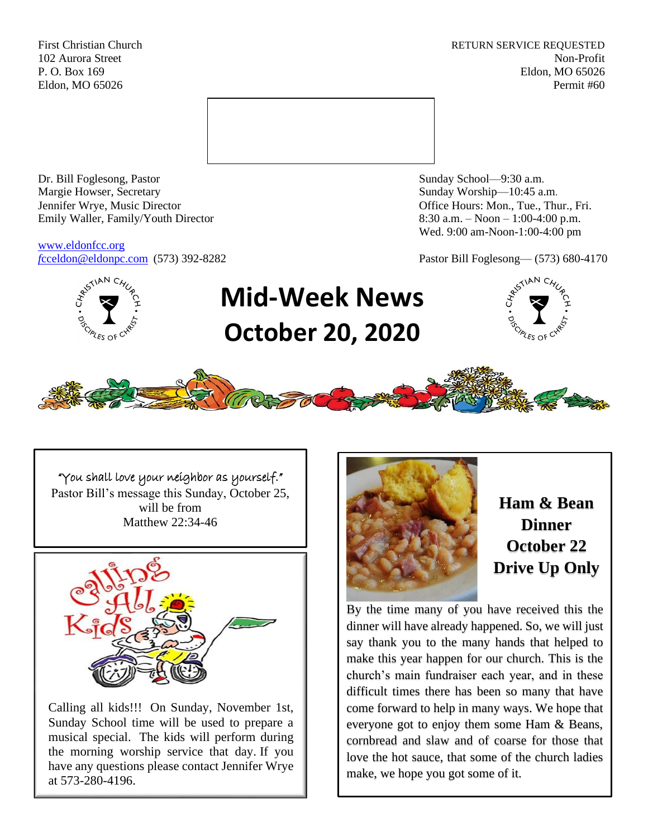First Christian Church **RETURN SERVICE REQUESTED** 102 Aurora Street Non-Profit P. O. Box 169 Eldon, MO 65026 Eldon, MO 65026 Permit #60



Dr. Bill Foglesong, Pastor Sunday School—9:30 a.m. Margie Howser, Secretary Sunday Worship—10:45 a.m. Jennifer Wrye, Music Director Office Hours: Mon., Tue., Thur., Fri. Emily Waller, Family/Youth Director 8:30 a.m. – Noon – 1:00-4:00 p.m.

[www.eldonfcc.org](http://www.eldonfcc.org/)

Wed. 9:00 am-Noon-1:00-4:00 pm

*f*[cceldon@eldonpc.com](mailto:fcceldon@eldonpc.com) (573) 392-8282 Pastor Bill Foglesong— (573) 680-4170



# **Mid-Week News October 20, 2020**





"You shall love your neighbor as yourself." Pastor Bill's message this Sunday, October 25, will be from Matthew 22:34-46



Calling all kids!!! On Sunday, November 1st, Sunday School time will be used to prepare a musical special. The kids will perform during the morning worship service that day. If you have any questions please contact Jennifer Wrye at 573-280-4196.



**Ham & Bean Dinner October 22 Drive Up Only**

By the time many of you have received this the dinner will have already happened. So, we will just say thank you to the many hands that helped to make this year happen for our church. This is the church's main fundraiser each year, and in these difficult times there has been so many that have come forward to help in many ways. We hope that everyone got to enjoy them some Ham & Beans, cornbread and slaw and of coarse for those that love the hot sauce, that some of the church ladies make, we hope you got some of it.